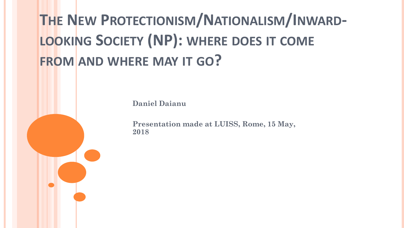# **THE NEW PROTECTIONISM/NATIONALISM/INWARD-LOOKING SOCIETY (NP): WHERE DOES IT COME FROM AND WHERE MAY IT GO?**

**Daniel Daianu**

**Presentation made at LUISS, Rome, 15 May, 2018**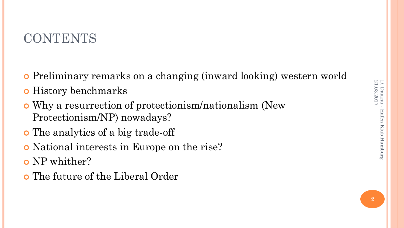# **CONTENTS**

- Preliminary remarks on a changing (inward looking) western world
- **o** History benchmarks
- Why a resurrection of protectionism/nationalism (New Protectionism/NP) nowadays?
- The analytics of a big trade-off
- National interests in Europe on the rise?
- o NP whither?
- The future of the Liberal Order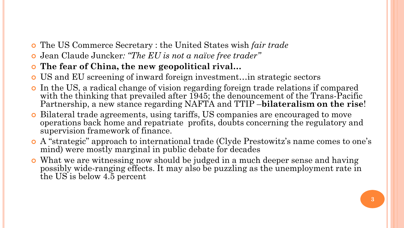- The US Commerce Secretary : the United States wish *fair trade*
- Jean Claude Juncker*: "The EU is not a naïve free trader"*
- **The fear of China, the new geopolitical rival…**
- US and EU screening of inward foreign investment…in strategic sectors
- In the US, a radical change of vision regarding foreign trade relations if compared with the thinking that prevailed after 1945; the denouncement of the Trans-Pacific Partnership, a new stance regarding NAFTA and TTIP –**bilateralism on the rise**!
- Bilateral trade agreements, using tariffs, US companies are encouraged to move operations back home and repatriate profits, doubts concerning the regulatory and supervision framework of finance.
- A "strategic" approach to international trade (Clyde Prestowitz's name comes to one's mind) were mostly marginal in public debate for decades
- What we are witnessing now should be judged in a much deeper sense and having possibly wide-ranging effects. It may also be puzzling as the unemployment rate in the US is below 4.5 percent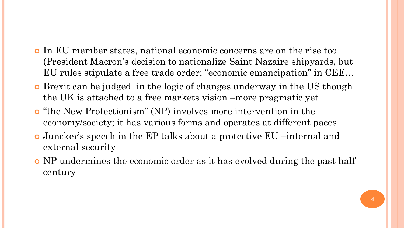- In EU member states, national economic concerns are on the rise too (President Macron's decision to nationalize Saint Nazaire shipyards, but EU rules stipulate a free trade order; "economic emancipation" in CEE…
- Brexit can be judged in the logic of changes underway in the US though the UK is attached to a free markets vision –more pragmatic yet
- "the New Protectionism" (NP) involves more intervention in the economy/society; it has various forms and operates at different paces
- Juncker's speech in the EP talks about a protective EU –internal and external security
- NP undermines the economic order as it has evolved during the past half century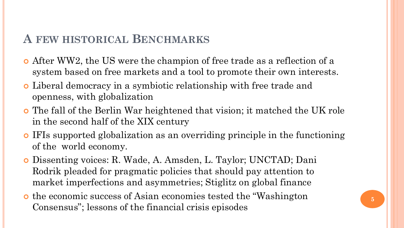## **A FEW HISTORICAL BENCHMARKS**

- After WW2, the US were the champion of free trade as a reflection of a system based on free markets and a tool to promote their own interests.
- Liberal democracy in a symbiotic relationship with free trade and openness, with globalization
- The fall of the Berlin War heightened that vision; it matched the UK role in the second half of the XIX century
- IFIs supported globalization as an overriding principle in the functioning of the world economy.
- Dissenting voices: R. Wade, A. Amsden, L. Taylor; UNCTAD; Dani Rodrik pleaded for pragmatic policies that should pay attention to market imperfections and asymmetries; Stiglitz on global finance
- the economic success of Asian economies tested the "Washington Consensus"; lessons of the financial crisis episodes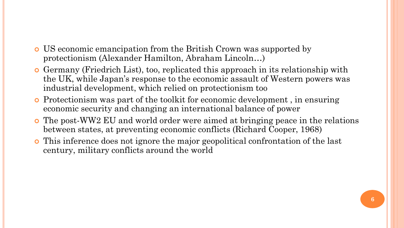- US economic emancipation from the British Crown was supported by protectionism (Alexander Hamilton, Abraham Lincoln…)
- Germany (Friedrich List), too, replicated this approach in its relationship with the UK, while Japan's response to the economic assault of Western powers was industrial development, which relied on protectionism too
- Protectionism was part of the toolkit for economic development , in ensuring economic security and changing an international balance of power
- The post-WW2 EU and world order were aimed at bringing peace in the relations between states, at preventing economic conflicts (Richard Cooper, 1968)
- This inference does not ignore the major geopolitical confrontation of the last century, military conflicts around the world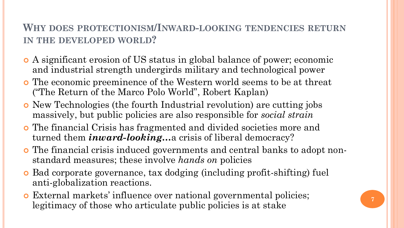#### **WHY DOES PROTECTIONISM/INWARD-LOOKING TENDENCIES RETURN IN THE DEVELOPED WORLD?**

- A significant erosion of US status in global balance of power; economic and industrial strength undergirds military and technological power
- The economic preeminence of the Western world seems to be at threat ("The Return of the Marco Polo World", Robert Kaplan)
- New Technologies (the fourth Industrial revolution) are cutting jobs massively, but public policies are also responsible for *social strain*
- The financial Crisis has fragmented and divided societies more and turned them *inward-looking…*a crisis of liberal democracy?
- The financial crisis induced governments and central banks to adopt nonstandard measures; these involve *hands on* policies
- Bad corporate governance, tax dodging (including profit-shifting) fuel anti-globalization reactions.
- External markets' influence over national governmental policies; legitimacy of those who articulate public policies is at stake **<sup>7</sup>**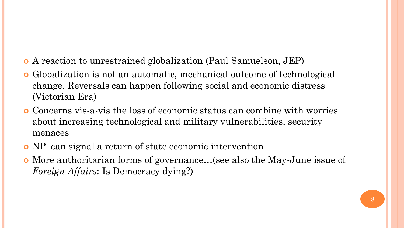- A reaction to unrestrained globalization (Paul Samuelson, JEP)
- Globalization is not an automatic, mechanical outcome of technological change. Reversals can happen following social and economic distress (Victorian Era)
- Concerns vis-a-vis the loss of economic status can combine with worries about increasing technological and military vulnerabilities, security menaces
- NP can signal a return of state economic intervention
- More authoritarian forms of governance…(see also the May-June issue of *Foreign Affairs*: Is Democracy dying?)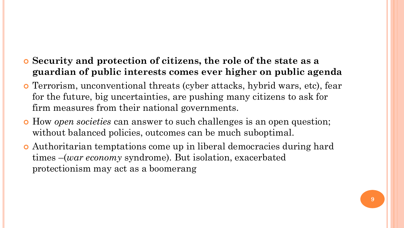- **Security and protection of citizens, the role of the state as a guardian of public interests comes ever higher on public agenda**
- Terrorism, unconventional threats (cyber attacks, hybrid wars, etc), fear for the future, big uncertainties, are pushing many citizens to ask for firm measures from their national governments.
- How *open societies* can answer to such challenges is an open question; without balanced policies, outcomes can be much suboptimal.
- Authoritarian temptations come up in liberal democracies during hard times –(*war economy* syndrome). But isolation, exacerbated protectionism may act as a boomerang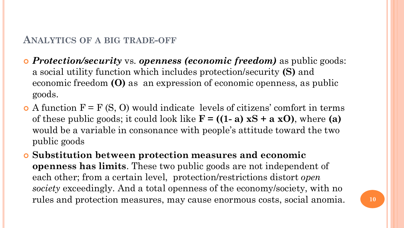#### **ANALYTICS OF A BIG TRADE-OFF**

- *Protection/security* vs. *openness (economic freedom)* as public goods: a social utility function which includes protection/security **(S)** and economic freedom **(O)** as an expression of economic openness, as public goods.
- $\bullet$  A function  $F = F(S, O)$  would indicate levels of citizens' comfort in terms of these public goods; it could look like **F = ((1- a) xS + a xO)**, where **(a)** would be a variable in consonance with people's attitude toward the two public goods
- **Substitution between protection measures and economic openness has limits**. These two public goods are not independent of each other; from a certain level, protection/restrictions distort *open society* exceedingly. And a total openness of the economy/society, with no rules and protection measures, may cause enormous costs, social anomia. **<sup>10</sup>**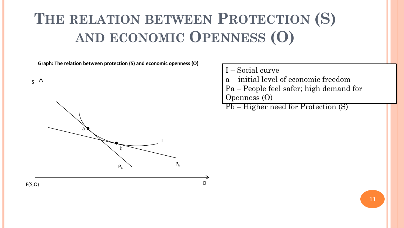# **THE RELATION BETWEEN PROTECTION (S) AND ECONOMIC OPENNESS (O)**

**Graph: The relation between protection (S) and economic openness (O)**



- I Social curve
- a initial level of economic freedom
- Pa People feel safer; high demand for Openness (O)
- Pb Higher need for Protection (S)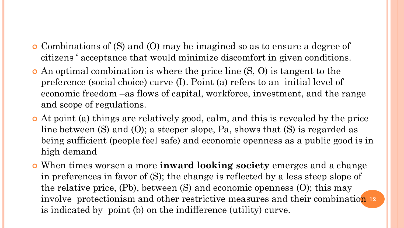- Combinations of (S) and (O) may be imagined so as to ensure a degree of citizens ' acceptance that would minimize discomfort in given conditions.
- An optimal combination is where the price line (S, O) is tangent to the preference (social choice) curve (I). Point (a) refers to an initial level of economic freedom –as flows of capital, workforce, investment, and the range and scope of regulations.
- At point (a) things are relatively good, calm, and this is revealed by the price line between (S) and (O); a steeper slope, Pa, shows that (S) is regarded as being sufficient (people feel safe) and economic openness as a public good is in high demand
- When times worsen a more **inward looking society** emerges and a change in preferences in favor of (S); the change is reflected by a less steep slope of the relative price, (Pb), between (S) and economic openness (O); this may involve protectionism and other restrictive measures and their combination 12 is indicated by point (b) on the indifference (utility) curve.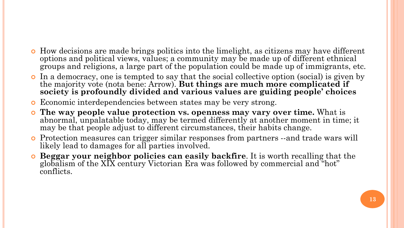- How decisions are made brings politics into the limelight, as citizens may have different options and political views, values; a community may be made up of different ethnical groups and religions, a large part of the population could be made up of immigrants, etc.
- In a democracy, one is tempted to say that the social collective option (social) is given by the majority vote (nota bene: Arrow). **But things are much more complicated if society is profoundly divided and various values are guiding people' choices**
- Economic interdependencies between states may be very strong.
- **The way people value protection vs. openness may vary over time.** What is abnormal, unpalatable today, may be termed differently at another moment in time; it may be that people adjust to different circumstances, their habits change.
- Protection measures can trigger similar responses from partners --and trade wars will likely lead to damages for all parties involved.
- **Beggar your neighbor policies can easily backfire**. It is worth recalling that the globalism of the XIX century Victorian Era was followed by commercial and "hot" conflicts.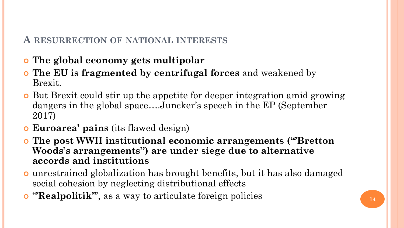#### **A RESURRECTION OF NATIONAL INTERESTS**

- **The global economy gets multipolar**
- **The EU is fragmented by centrifugal forces** and weakened by Brexit.
- But Brexit could stir up the appetite for deeper integration amid growing dangers in the global space….Juncker's speech in the EP (September 2017)
- **Euroarea' pains** (its flawed design)
- **The post WWII institutional economic arrangements ("'Bretton Woods's arrangements") are under siege due to alternative accords and institutions**
- unrestrained globalization has brought benefits, but it has also damaged social cohesion by neglecting distributional effects
- **o** "**Realpolitik'**", as a way to articulate foreign policies  $\begin{bmatrix} 14 \end{bmatrix}$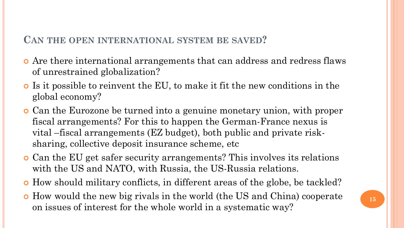#### **CAN THE OPEN INTERNATIONAL SYSTEM BE SAVED?**

- Are there international arrangements that can address and redress flaws of unrestrained globalization?
- Is it possible to reinvent the EU, to make it fit the new conditions in the global economy?
- Can the Eurozone be turned into a genuine monetary union, with proper fiscal arrangements? For this to happen the German-France nexus is vital –fiscal arrangements (EZ budget), both public and private risksharing, collective deposit insurance scheme, etc
- Can the EU get safer security arrangements? This involves its relations with the US and NATO, with Russia, the US-Russia relations.
- How should military conflicts, in different areas of the globe, be tackled?
- How would the new big rivals in the world (the US and China) cooperate on issues of interest for the whole world in a systematic way?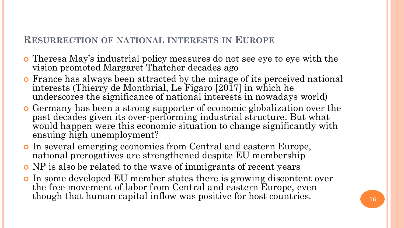#### **RESURRECTION OF NATIONAL INTERESTS IN EUROPE**

- Theresa May's industrial policy measures do not see eye to eye with the vision promoted Margaret Thatcher decades ago
- France has always been attracted by the mirage of its perceived national interests (Thierry de Montbrial, Le Figaro [2017] in which he underscores the significance of national interests in nowadays world)
- Germany has been a strong supporter of economic globalization over the past decades given its over-performing industrial structure. But what would happen were this economic situation to change significantly with ensuing high unemployment?
- In several emerging economies from Central and eastern Europe, national prerogatives are strengthened despite EU membership
- NP is also be related to the wave of immigrants of recent years
- In some developed EU member states there is growing discontent over the free movement of labor from Central and eastern Europe, even though that human capital inflow was positive for host countries.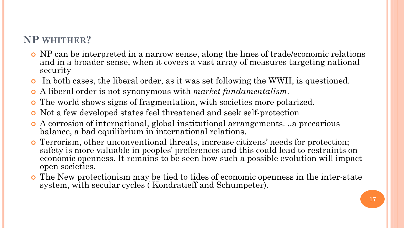### **NP WHITHER?**

- NP can be interpreted in a narrow sense, along the lines of trade/economic relations and in a broader sense, when it covers a vast array of measures targeting national security
- In both cases, the liberal order, as it was set following the WWII, is questioned.
- A liberal order is not synonymous with *market fundamentalism*.
- The world shows signs of fragmentation, with societies more polarized.
- Not a few developed states feel threatened and seek self-protection
- A corrosion of international, global institutional arrangements. ..a precarious balance, a bad equilibrium in international relations.
- Terrorism, other unconventional threats, increase citizens' needs for protection; safety is more valuable in peoples' preferences and this could lead to restraints on economic openness. It remains to be seen how such a possible evolution will impact open societies.
- The New protectionism may be tied to tides of economic openness in the inter-state system, with secular cycles ( Kondratieff and Schumpeter).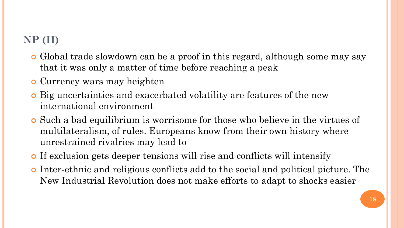# **NP (II)**

- Global trade slowdown can be a proof in this regard, although some may say that it was only a matter of time before reaching a peak
- Currency wars may heighten
- Big uncertainties and exacerbated volatility are features of the new international environment
- Such a bad equilibrium is worrisome for those who believe in the virtues of multilateralism, of rules. Europeans know from their own history where unrestrained rivalries may lead to
- If exclusion gets deeper tensions will rise and conflicts will intensify
- Inter-ethnic and religious conflicts add to the social and political picture. The New Industrial Revolution does not make efforts to adapt to shocks easier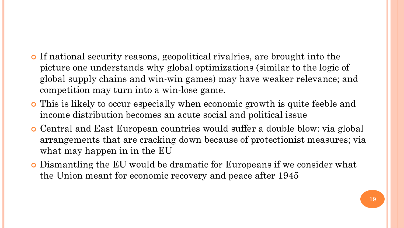- If national security reasons, geopolitical rivalries, are brought into the picture one understands why global optimizations (similar to the logic of global supply chains and win-win games) may have weaker relevance; and competition may turn into a win-lose game.
- This is likely to occur especially when economic growth is quite feeble and income distribution becomes an acute social and political issue
- Central and East European countries would suffer a double blow: via global arrangements that are cracking down because of protectionist measures; via what may happen in in the EU
- Dismantling the EU would be dramatic for Europeans if we consider what the Union meant for economic recovery and peace after 1945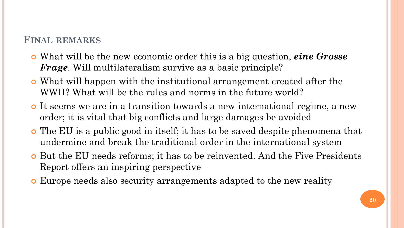#### **FINAL REMARKS**

- What will be the new economic order this is a big question, *eine Grosse Frage*. Will multilateralism survive as a basic principle?
- What will happen with the institutional arrangement created after the WWII? What will be the rules and norms in the future world?
- It seems we are in a transition towards a new international regime, a new order; it is vital that big conflicts and large damages be avoided
- The EU is a public good in itself; it has to be saved despite phenomena that undermine and break the traditional order in the international system
- But the EU needs reforms; it has to be reinvented. And the Five Presidents Report offers an inspiring perspective
- Europe needs also security arrangements adapted to the new reality